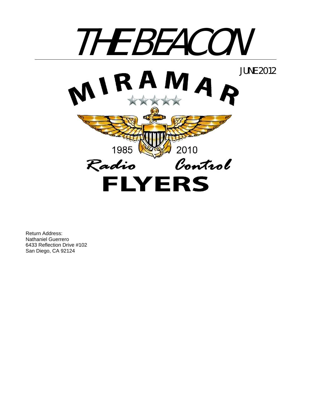

Return Address: Nathaniel Guerrero 6433 Reflection Drive #102 San Diego, CA 92124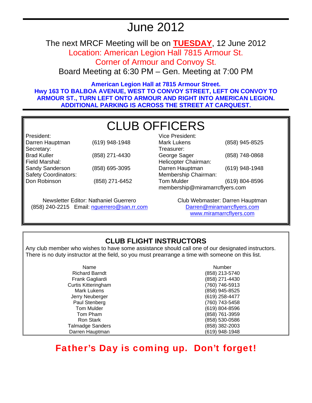# June 2012

The next MRCF Meeting will be on **TUESDAY**, 12 June 2012

Location: American Legion Hall 7815 Armour St. Corner of Armour and Convoy St.

Board Meeting at 6:30 PM – Gen. Meeting at 7:00 PM

**American Legion Hall at 7815 Armour Street. Hwy 163 TO BALBOA AVENUE, WEST TO CONVOY STREET, LEFT ON CONVOY TO ARMOUR ST., TURN LEFT ONTO ARMOUR AND RIGHT INTO AMERICAN LEGION. ADDITIONAL PARKING IS ACROSS THE STREET AT CARQUEST.** 

# CLUB OFFICERS

| President:                  |                |
|-----------------------------|----------------|
| Darren Hauptman             | (619) 948-1948 |
| Secretary:                  |                |
| <b>Brad Kuller</b>          | (858) 271-4430 |
| Field Marshal:              |                |
| Sandy Sanderson             | (858) 695-3095 |
| <b>Safety Coordinators:</b> |                |
| Don Robinson                | (858) 271-6452 |
|                             |                |

Newsletter Editor: Nathaniel Guerrero (858) 240-2215 Email: nguerrero@san.rr.com

| Vice President:                |                |  |
|--------------------------------|----------------|--|
| Mark Lukens                    | (858) 945-8525 |  |
| Treasurer:                     |                |  |
| George Sager                   | (858) 748-0868 |  |
| Helicopter Chairman:           |                |  |
| Darren Hauptman                | (619) 948-1948 |  |
| Membership Chairman:           |                |  |
| <b>Tom Mulder</b>              | (619) 804-8596 |  |
| membership@miramarrcflyers.com |                |  |

Club Webmaster: Darren Hauptman Darren@miramarrcflyers.com www.miramarrcflyers.com

# **CLUB FLIGHT INSTRUCTORS**

Any club member who wishes to have some assistance should call one of our designated instructors. There is no duty instructor at the field, so you must prearrange a time with someone on this list.

| Name                       | Number         |
|----------------------------|----------------|
| <b>Richard Barndt</b>      | (858) 213-5740 |
| Frank Gagliardi            | (858) 271-4430 |
| <b>Curtis Kitteringham</b> | (760) 746-5913 |
| <b>Mark Lukens</b>         | (858) 945-8525 |
| Jerry Neuberger            | (619) 258-4477 |
| Paul Stenberg              | (760) 743-5458 |
| Tom Mulder                 | (619) 804-8596 |
| Tom Pham                   | (858) 761-3959 |
| Ron Stark                  | (858) 530-0586 |
| <b>Talmadge Sanders</b>    | (858) 382-2003 |
| Darren Hauptman            | (619) 948-1948 |

# Father's Day is coming up. Don't forget!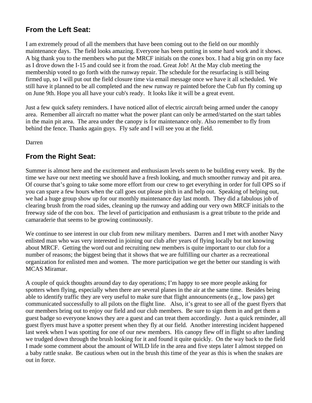## **From the Left Seat:**

I am extremely proud of all the members that have been coming out to the field on our monthly maintenance days. The field looks amazing. Everyone has been putting in some hard work and it shows. A big thank you to the members who put the MRCF initials on the conex box. I had a big grin on my face as I drove down the I-15 and could see it from the road. Great Job! At the May club meeting the membership voted to go forth with the runway repair. The schedule for the resurfacing is still being firmed up, so I will put out the field closure time via email message once we have it all scheduled. We still have it planned to be all completed and the new runway re painted before the Cub fun fly coming up on June 9th. Hope you all have your cub's ready. It looks like it will be a great event.

Just a few quick safety reminders. I have noticed allot of electric aircraft being armed under the canopy area. Remember all aircraft no matter what the power plant can only be armed/started on the start tables in the main pit area. The area under the canopy is for maintenance only. Also remember to fly from behind the fence. Thanks again guys. Fly safe and I will see you at the field.

Darren

## **From the Right Seat:**

Summer is almost here and the excitement and enthusiasm levels seem to be building every week. By the time we have our next meeting we should have a fresh looking, and much smoother runway and pit area. Of course that's going to take some more effort from our crew to get everything in order for full OPS so if you can spare a few hours when the call goes out please pitch in and help out. Speaking of helping out, we had a huge group show up for our monthly maintenance day last month. They did a fabulous job of clearing brush from the road sides, cleaning up the runway and adding our very own MRCF initials to the freeway side of the con box. The level of participation and enthusiasm is a great tribute to the pride and camaraderie that seems to be growing continuously.

We continue to see interest in our club from new military members. Darren and I met with another Navy enlisted man who was very interested in joining our club after years of flying locally but not knowing about MRCF. Getting the word out and recruiting new members is quite important to our club for a number of reasons; the biggest being that it shows that we are fulfilling our charter as a recreational organization for enlisted men and women. The more participation we get the better our standing is with MCAS Miramar.

A couple of quick thoughts around day to day operations; I'm happy to see more people asking for spotters when flying, especially when there are several planes in the air at the same time. Besides being able to identify traffic they are very useful to make sure that flight announcements (e.g., low pass) get communicated successfully to all pilots on the flight line. Also, it's great to see all of the guest flyers that our members bring out to enjoy our field and our club members. Be sure to sign them in and get them a guest badge so everyone knows they are a guest and can treat them accordingly. Just a quick reminder, all guest flyers must have a spotter present when they fly at our field. Another interesting incident happened last week when I was spotting for one of our new members. His canopy flew off in flight so after landing we trudged down through the brush looking for it and found it quite quickly. On the way back to the field I made some comment about the amount of WILD life in the area and five steps later I almost stepped on a baby rattle snake. Be cautious when out in the brush this time of the year as this is when the snakes are out in force.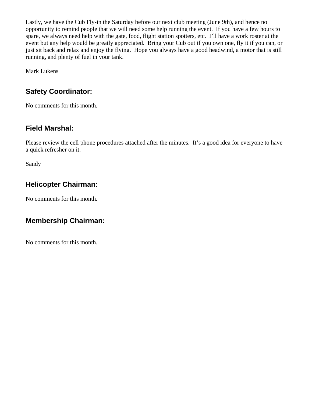Lastly, we have the Cub Fly-in the Saturday before our next club meeting (June 9th), and hence no opportunity to remind people that we will need some help running the event. If you have a few hours to spare, we always need help with the gate, food, flight station spotters, etc. I'll have a work roster at the event but any help would be greatly appreciated. Bring your Cub out if you own one, fly it if you can, or just sit back and relax and enjoy the flying. Hope you always have a good headwind, a motor that is still running, and plenty of fuel in your tank.

Mark Lukens

# **Safety Coordinator:**

No comments for this month.

# **Field Marshal:**

Please review the cell phone procedures attached after the minutes. It's a good idea for everyone to have a quick refresher on it.

Sandy

# **Helicopter Chairman:**

No comments for this month.

# **Membership Chairman:**

No comments for this month.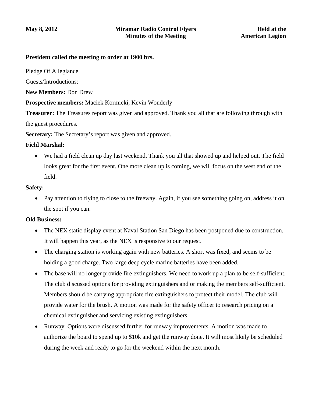#### **President called the meeting to order at 1900 hrs.**

Pledge Of Allegiance

Guests/Introductions:

**New Members:** Don Drew

**Prospective members:** Maciek Kormicki, Kevin Wonderly

**Treasurer:** The Treasures report was given and approved. Thank you all that are following through with the guest procedures.

**Secretary:** The Secretary's report was given and approved.

#### **Field Marshal:**

• We had a field clean up day last weekend. Thank you all that showed up and helped out. The field looks great for the first event. One more clean up is coming, we will focus on the west end of the field.

#### **Safety:**

• Pay attention to flying to close to the freeway. Again, if you see something going on, address it on the spot if you can.

#### **Old Business:**

- The NEX static display event at Naval Station San Diego has been postponed due to construction. It will happen this year, as the NEX is responsive to our request.
- The charging station is working again with new batteries. A short was fixed, and seems to be holding a good charge. Two large deep cycle marine batteries have been added.
- The base will no longer provide fire extinguishers. We need to work up a plan to be self-sufficient. The club discussed options for providing extinguishers and or making the members self-sufficient. Members should be carrying appropriate fire extinguishers to protect their model. The club will provide water for the brush. A motion was made for the safety officer to research pricing on a chemical extinguisher and servicing existing extinguishers.
- Runway. Options were discussed further for runway improvements. A motion was made to authorize the board to spend up to \$10k and get the runway done. It will most likely be scheduled during the week and ready to go for the weekend within the next month.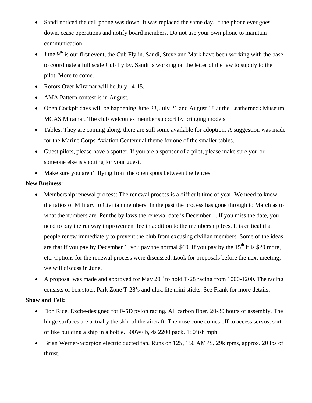- Sandi noticed the cell phone was down. It was replaced the same day. If the phone ever goes down, cease operations and notify board members. Do not use your own phone to maintain communication.
- June  $9<sup>th</sup>$  is our first event, the Cub Fly in. Sandi, Steve and Mark have been working with the base to coordinate a full scale Cub fly by. Sandi is working on the letter of the law to supply to the pilot. More to come.
- Rotors Over Miramar will be July 14-15.
- AMA Pattern contest is in August.
- Open Cockpit days will be happening June 23, July 21 and August 18 at the Leatherneck Museum MCAS Miramar. The club welcomes member support by bringing models.
- Tables: They are coming along, there are still some available for adoption. A suggestion was made for the Marine Corps Aviation Centennial theme for one of the smaller tables.
- Guest pilots, please have a spotter. If you are a sponsor of a pilot, please make sure you or someone else is spotting for your guest.
- Make sure you aren't flying from the open spots between the fences.

#### **New Business:**

- Membership renewal process: The renewal process is a difficult time of year. We need to know the ratios of Military to Civilian members. In the past the process has gone through to March as to what the numbers are. Per the by laws the renewal date is December 1. If you miss the date, you need to pay the runway improvement fee in addition to the membership fees. It is critical that people renew immediately to prevent the club from excusing civilian members. Some of the ideas are that if you pay by December 1, you pay the normal \$60. If you pay by the  $15<sup>th</sup>$  it is \$20 more, etc. Options for the renewal process were discussed. Look for proposals before the next meeting, we will discuss in June.
- A proposal was made and approved for May  $20^{th}$  to hold T-28 racing from 1000-1200. The racing consists of box stock Park Zone T-28's and ultra lite mini sticks. See Frank for more details.

#### **Show and Tell:**

- Don Rice. Excite-designed for F-5D pylon racing. All carbon fiber, 20-30 hours of assembly. The hinge surfaces are actually the skin of the aircraft. The nose cone comes off to access servos, sort of like building a ship in a bottle. 500W/lb, 4s 2200 pack. 180'ish mph.
- Brian Werner-Scorpion electric ducted fan. Runs on 12S, 150 AMPS, 29k rpms, approx. 20 lbs of thrust.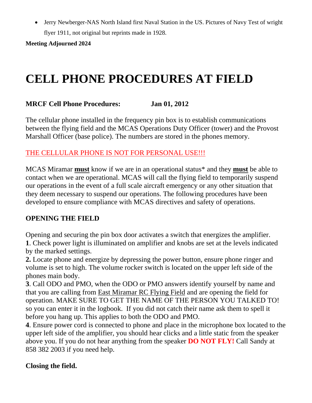• Jerry Newberger-NAS North Island first Naval Station in the US. Pictures of Navy Test of wright flyer 1911, not original but reprints made in 1928.

**Meeting Adjourned 2024** 

# **CELL PHONE PROCEDURES AT FIELD**

## **MRCF Cell Phone Procedures: Jan 01, 2012**

The cellular phone installed in the frequency pin box is to establish communications between the flying field and the MCAS Operations Duty Officer (tower) and the Provost Marshall Officer (base police). The numbers are stored in the phones memory.

## THE CELLULAR PHONE IS NOT FOR PERSONAL USE!!!

MCAS Miramar **must** know if we are in an operational status\* and they **must** be able to contact when we are operational. MCAS will call the flying field to temporarily suspend our operations in the event of a full scale aircraft emergency or any other situation that they deem necessary to suspend our operations. The following procedures have been developed to ensure compliance with MCAS directives and safety of operations.

### **OPENING THE FIELD**

Opening and securing the pin box door activates a switch that energizes the amplifier. **1**. Check power light is illuminated on amplifier and knobs are set at the levels indicated by the marked settings.

**2.** Locate phone and energize by depressing the power button, ensure phone ringer and volume is set to high. The volume rocker switch is located on the upper left side of the phones main body.

**3**. Call ODO and PMO, when the ODO or PMO answers identify yourself by name and that you are calling from East Miramar RC Flying Field and are opening the field for operation. MAKE SURE TO GET THE NAME OF THE PERSON YOU TALKED TO! so you can enter it in the logbook. If you did not catch their name ask them to spell it before you hang up. This applies to both the ODO and PMO.

**4**. Ensure power cord is connected to phone and place in the microphone box located to the upper left side of the amplifier, you should hear clicks and a little static from the speaker above you. If you do not hear anything from the speaker **DO NOT FLY!** Call Sandy at 858 382 2003 if you need help.

### **Closing the field.**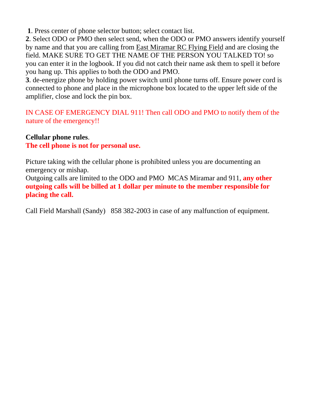**1**. Press center of phone selector button; select contact list.

**2**. Select ODO or PMO then select send, when the ODO or PMO answers identify yourself by name and that you are calling from East Miramar RC Flying Field and are closing the field. MAKE SURE TO GET THE NAME OF THE PERSON YOU TALKED TO! so you can enter it in the logbook. If you did not catch their name ask them to spell it before you hang up. This applies to both the ODO and PMO.

**3**. de-energize phone by holding power switch until phone turns off. Ensure power cord is connected to phone and place in the microphone box located to the upper left side of the amplifier, close and lock the pin box.

IN CASE OF EMERGENCY DIAL 911! Then call ODO and PMO to notify them of the nature of the emergency!!

### **Cellular phone rules**.

**The cell phone is not for personal use.** 

Picture taking with the cellular phone is prohibited unless you are documenting an emergency or mishap.

Outgoing calls are limited to the ODO and PMO MCAS Miramar and 911, **any other outgoing calls will be billed at 1 dollar per minute to the member responsible for placing the call.** 

Call Field Marshall (Sandy) 858 382-2003 in case of any malfunction of equipment.